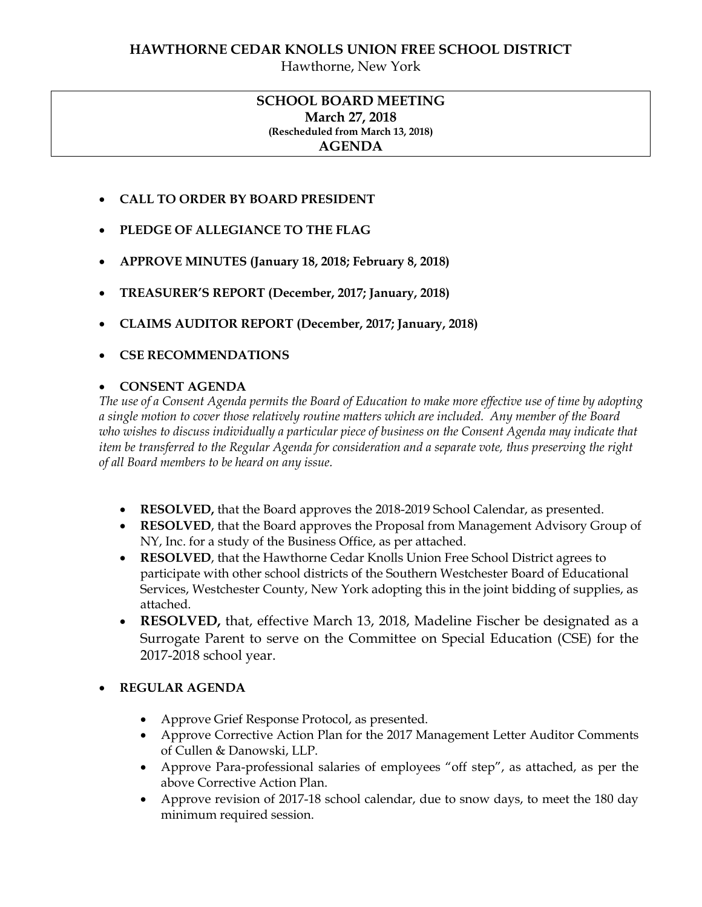Hawthorne, New York

### **SCHOOL BOARD MEETING March 27, 2018 (Rescheduled from March 13, 2018) AGENDA**

- **CALL TO ORDER BY BOARD PRESIDENT**
- **PLEDGE OF ALLEGIANCE TO THE FLAG**
- **APPROVE MINUTES (January 18, 2018; February 8, 2018)**
- **TREASURER'S REPORT (December, 2017; January, 2018)**
- **CLAIMS AUDITOR REPORT (December, 2017; January, 2018)**
- **CSE RECOMMENDATIONS**

## **CONSENT AGENDA**

*The use of a Consent Agenda permits the Board of Education to make more effective use of time by adopting a single motion to cover those relatively routine matters which are included. Any member of the Board who wishes to discuss individually a particular piece of business on the Consent Agenda may indicate that item be transferred to the Regular Agenda for consideration and a separate vote, thus preserving the right of all Board members to be heard on any issue.* 

- **RESOLVED,** that the Board approves the 2018-2019 School Calendar, as presented.
- **RESOLVED**, that the Board approves the Proposal from Management Advisory Group of NY, Inc. for a study of the Business Office, as per attached.
- **RESOLVED**, that the Hawthorne Cedar Knolls Union Free School District agrees to participate with other school districts of the Southern Westchester Board of Educational Services, Westchester County, New York adopting this in the joint bidding of supplies, as attached.
- **RESOLVED,** that, effective March 13, 2018, Madeline Fischer be designated as a Surrogate Parent to serve on the Committee on Special Education (CSE) for the 2017-2018 school year.

# **REGULAR AGENDA**

- Approve Grief Response Protocol, as presented.
- Approve Corrective Action Plan for the 2017 Management Letter Auditor Comments of Cullen & Danowski, LLP.
- Approve Para-professional salaries of employees "off step", as attached, as per the above Corrective Action Plan.
- Approve revision of 2017-18 school calendar, due to snow days, to meet the 180 day minimum required session.